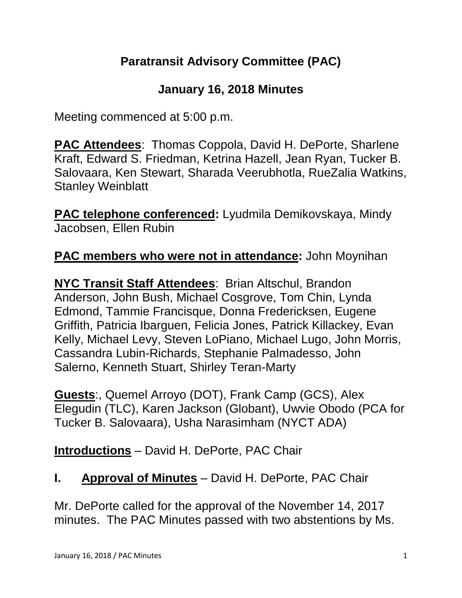# **Paratransit Advisory Committee (PAC)**

## **January 16, 2018 Minutes**

Meeting commenced at 5:00 p.m.

**PAC Attendees**: Thomas Coppola, David H. DePorte, Sharlene Kraft, Edward S. Friedman, Ketrina Hazell, Jean Ryan, Tucker B. Salovaara, Ken Stewart, Sharada Veerubhotla, RueZalia Watkins, Stanley Weinblatt

**PAC telephone conferenced:** Lyudmila Demikovskaya, Mindy Jacobsen, Ellen Rubin

#### **PAC members who were not in attendance:** John Moynihan

**NYC Transit Staff Attendees**: Brian Altschul, Brandon Anderson, John Bush, Michael Cosgrove, Tom Chin, Lynda Edmond, Tammie Francisque, Donna Fredericksen, Eugene Griffith, Patricia Ibarguen, Felicia Jones, Patrick Killackey, Evan Kelly, Michael Levy, Steven LoPiano, Michael Lugo, John Morris, Cassandra Lubin-Richards, Stephanie Palmadesso, John Salerno, Kenneth Stuart, Shirley Teran-Marty

**Guests**:, Quemel Arroyo (DOT), Frank Camp (GCS), Alex Elegudin (TLC), Karen Jackson (Globant), Uwvie Obodo (PCA for Tucker B. Salovaara), Usha Narasimham (NYCT ADA)

**Introductions** – David H. DePorte, PAC Chair

## **I. Approval of Minutes** – David H. DePorte, PAC Chair

Mr. DePorte called for the approval of the November 14, 2017 minutes. The PAC Minutes passed with two abstentions by Ms.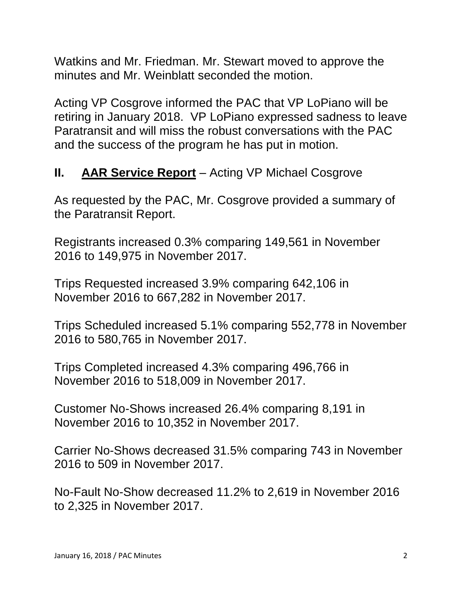Watkins and Mr. Friedman. Mr. Stewart moved to approve the minutes and Mr. Weinblatt seconded the motion.

Acting VP Cosgrove informed the PAC that VP LoPiano will be retiring in January 2018. VP LoPiano expressed sadness to leave Paratransit and will miss the robust conversations with the PAC and the success of the program he has put in motion.

# **II. AAR Service Report** – Acting VP Michael Cosgrove

As requested by the PAC, Mr. Cosgrove provided a summary of the Paratransit Report.

Registrants increased 0.3% comparing 149,561 in November 2016 to 149,975 in November 2017.

Trips Requested increased 3.9% comparing 642,106 in November 2016 to 667,282 in November 2017.

Trips Scheduled increased 5.1% comparing 552,778 in November 2016 to 580,765 in November 2017.

Trips Completed increased 4.3% comparing 496,766 in November 2016 to 518,009 in November 2017.

Customer No-Shows increased 26.4% comparing 8,191 in November 2016 to 10,352 in November 2017.

Carrier No-Shows decreased 31.5% comparing 743 in November 2016 to 509 in November 2017.

No-Fault No-Show decreased 11.2% to 2,619 in November 2016 to 2,325 in November 2017.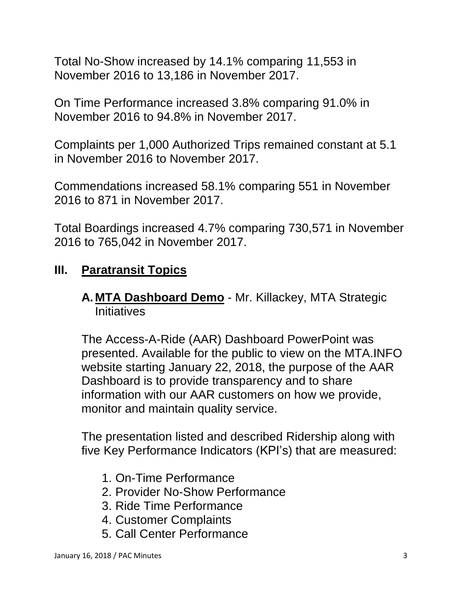Total No-Show increased by 14.1% comparing 11,553 in November 2016 to 13,186 in November 2017.

On Time Performance increased 3.8% comparing 91.0% in November 2016 to 94.8% in November 2017.

Complaints per 1,000 Authorized Trips remained constant at 5.1 in November 2016 to November 2017.

Commendations increased 58.1% comparing 551 in November 2016 to 871 in November 2017.

Total Boardings increased 4.7% comparing 730,571 in November 2016 to 765,042 in November 2017.

### **III. Paratransit Topics**

#### **A. MTA Dashboard Demo** - Mr. Killackey, MTA Strategic **Initiatives**

The Access-A-Ride (AAR) Dashboard PowerPoint was presented. Available for the public to view on the MTA.INFO website starting January 22, 2018, the purpose of the AAR Dashboard is to provide transparency and to share information with our AAR customers on how we provide, monitor and maintain quality service.

The presentation listed and described Ridership along with five Key Performance Indicators (KPI's) that are measured:

- 1. On-Time Performance
- 2. Provider No-Show Performance
- 3. Ride Time Performance
- 4. Customer Complaints
- 5. Call Center Performance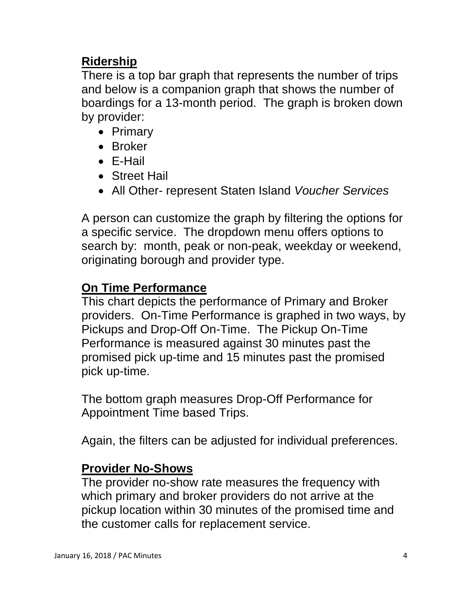## **Ridership**

There is a top bar graph that represents the number of trips and below is a companion graph that shows the number of boardings for a 13-month period. The graph is broken down by provider:

- Primary
- Broker
- E-Hail
- Street Hail
- All Other- represent Staten Island *Voucher Services*

A person can customize the graph by filtering the options for a specific service. The dropdown menu offers options to search by: month, peak or non-peak, weekday or weekend, originating borough and provider type.

### **On Time Performance**

This chart depicts the performance of Primary and Broker providers. On-Time Performance is graphed in two ways, by Pickups and Drop-Off On-Time. The Pickup On-Time Performance is measured against 30 minutes past the promised pick up-time and 15 minutes past the promised pick up-time.

The bottom graph measures Drop-Off Performance for Appointment Time based Trips.

Again, the filters can be adjusted for individual preferences.

#### **Provider No-Shows**

The provider no-show rate measures the frequency with which primary and broker providers do not arrive at the pickup location within 30 minutes of the promised time and the customer calls for replacement service.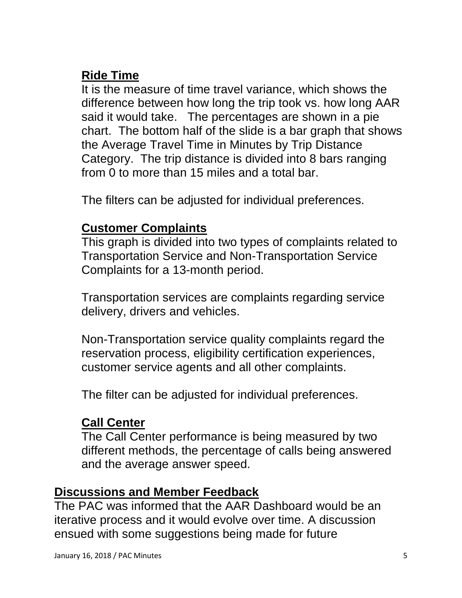# **Ride Time**

It is the measure of time travel variance, which shows the difference between how long the trip took vs. how long AAR said it would take. The percentages are shown in a pie chart. The bottom half of the slide is a bar graph that shows the Average Travel Time in Minutes by Trip Distance Category. The trip distance is divided into 8 bars ranging from 0 to more than 15 miles and a total bar.

The filters can be adjusted for individual preferences.

#### **Customer Complaints**

This graph is divided into two types of complaints related to Transportation Service and Non-Transportation Service Complaints for a 13-month period.

Transportation services are complaints regarding service delivery, drivers and vehicles.

Non-Transportation service quality complaints regard the reservation process, eligibility certification experiences, customer service agents and all other complaints.

The filter can be adjusted for individual preferences.

#### **Call Center**

The Call Center performance is being measured by two different methods, the percentage of calls being answered and the average answer speed.

#### **Discussions and Member Feedback**

The PAC was informed that the AAR Dashboard would be an iterative process and it would evolve over time. A discussion ensued with some suggestions being made for future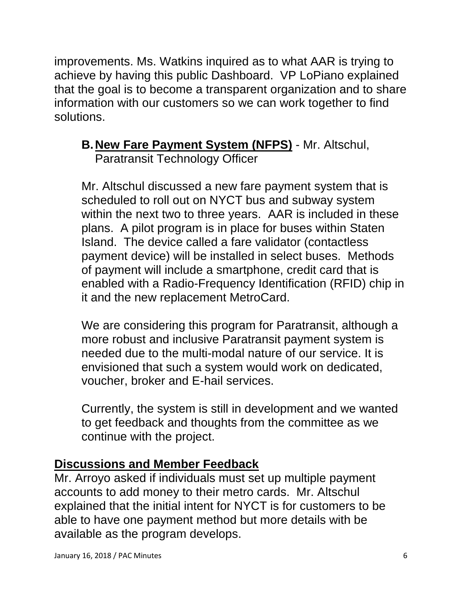improvements. Ms. Watkins inquired as to what AAR is trying to achieve by having this public Dashboard. VP LoPiano explained that the goal is to become a transparent organization and to share information with our customers so we can work together to find solutions.

#### **B.New Fare Payment System (NFPS)** - Mr. Altschul, Paratransit Technology Officer

Mr. Altschul discussed a new fare payment system that is scheduled to roll out on NYCT bus and subway system within the next two to three years. AAR is included in these plans. A pilot program is in place for buses within Staten Island. The device called a fare validator (contactless payment device) will be installed in select buses. Methods of payment will include a smartphone, credit card that is enabled with a Radio-Frequency Identification (RFID) chip in it and the new replacement MetroCard.

We are considering this program for Paratransit, although a more robust and inclusive Paratransit payment system is needed due to the multi-modal nature of our service. It is envisioned that such a system would work on dedicated, voucher, broker and E-hail services.

Currently, the system is still in development and we wanted to get feedback and thoughts from the committee as we continue with the project.

# **Discussions and Member Feedback**

Mr. Arroyo asked if individuals must set up multiple payment accounts to add money to their metro cards. Mr. Altschul explained that the initial intent for NYCT is for customers to be able to have one payment method but more details with be available as the program develops.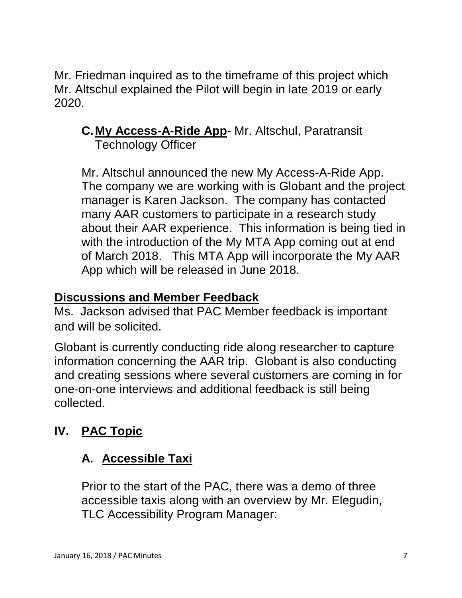Mr. Friedman inquired as to the timeframe of this project which Mr. Altschul explained the Pilot will begin in late 2019 or early 2020.

#### **C.My Access-A-Ride App**- Mr. Altschul, Paratransit Technology Officer

Mr. Altschul announced the new My Access-A-Ride App. The company we are working with is Globant and the project manager is Karen Jackson. The company has contacted many AAR customers to participate in a research study about their AAR experience. This information is being tied in with the introduction of the My MTA App coming out at end of March 2018. This MTA App will incorporate the My AAR App which will be released in June 2018.

### **Discussions and Member Feedback**

Ms. Jackson advised that PAC Member feedback is important and will be solicited.

Globant is currently conducting ride along researcher to capture information concerning the AAR trip. Globant is also conducting and creating sessions where several customers are coming in for one-on-one interviews and additional feedback is still being collected.

# **IV. PAC Topic**

# **A. Accessible Taxi**

Prior to the start of the PAC, there was a demo of three accessible taxis along with an overview by Mr. Elegudin, TLC Accessibility Program Manager: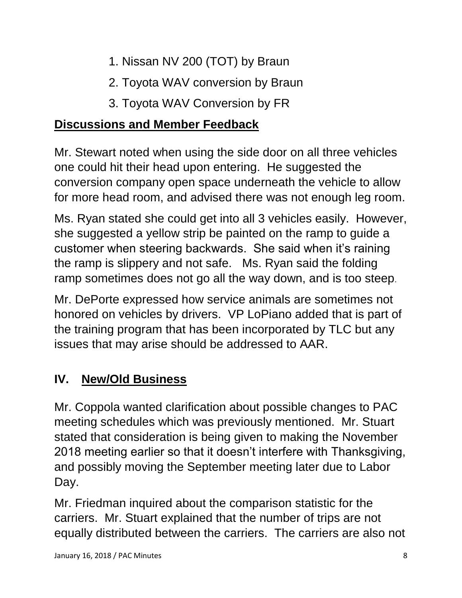- 1. Nissan NV 200 (TOT) by Braun
- 2. Toyota WAV conversion by Braun
- 3. Toyota WAV Conversion by FR

# **Discussions and Member Feedback**

Mr. Stewart noted when using the side door on all three vehicles one could hit their head upon entering. He suggested the conversion company open space underneath the vehicle to allow for more head room, and advised there was not enough leg room.

Ms. Ryan stated she could get into all 3 vehicles easily. However, she suggested a yellow strip be painted on the ramp to guide a customer when steering backwards. She said when it's raining the ramp is slippery and not safe. Ms. Ryan said the folding ramp sometimes does not go all the way down, and is too steep.

Mr. DePorte expressed how service animals are sometimes not honored on vehicles by drivers. VP LoPiano added that is part of the training program that has been incorporated by TLC but any issues that may arise should be addressed to AAR.

# **IV. New/Old Business**

Mr. Coppola wanted clarification about possible changes to PAC meeting schedules which was previously mentioned. Mr. Stuart stated that consideration is being given to making the November 2018 meeting earlier so that it doesn't interfere with Thanksgiving, and possibly moving the September meeting later due to Labor Day.

Mr. Friedman inquired about the comparison statistic for the carriers. Mr. Stuart explained that the number of trips are not equally distributed between the carriers. The carriers are also not